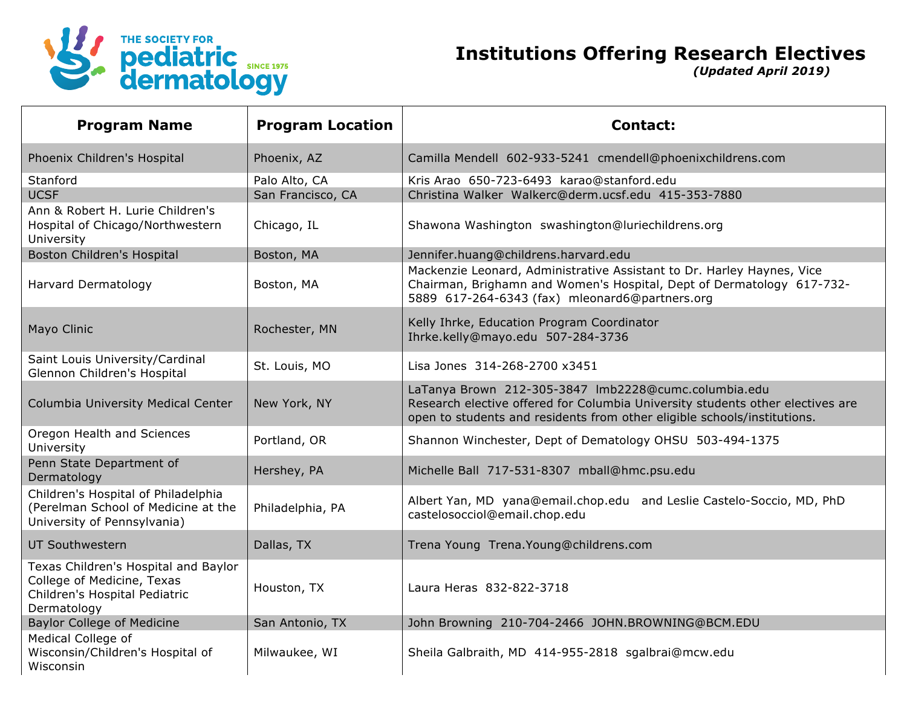

## **Institutions Offering Research Electives**

*(Updated April 2019)*

| <b>Program Name</b>                                                                                                | <b>Program Location</b> | <b>Contact:</b>                                                                                                                                                                                                    |
|--------------------------------------------------------------------------------------------------------------------|-------------------------|--------------------------------------------------------------------------------------------------------------------------------------------------------------------------------------------------------------------|
| Phoenix Children's Hospital                                                                                        | Phoenix, AZ             | Camilla Mendell 602-933-5241 cmendell@phoenixchildrens.com                                                                                                                                                         |
| Stanford                                                                                                           | Palo Alto, CA           | Kris Arao 650-723-6493 karao@stanford.edu                                                                                                                                                                          |
| <b>UCSF</b>                                                                                                        | San Francisco, CA       | Christina Walker Walkerc@derm.ucsf.edu 415-353-7880                                                                                                                                                                |
| Ann & Robert H. Lurie Children's<br>Hospital of Chicago/Northwestern<br>University                                 | Chicago, IL             | Shawona Washington swashington@luriechildrens.org                                                                                                                                                                  |
| Boston Children's Hospital                                                                                         | Boston, MA              | Jennifer.huang@childrens.harvard.edu                                                                                                                                                                               |
| <b>Harvard Dermatology</b>                                                                                         | Boston, MA              | Mackenzie Leonard, Administrative Assistant to Dr. Harley Haynes, Vice<br>Chairman, Brighamn and Women's Hospital, Dept of Dermatology 617-732-<br>5889 617-264-6343 (fax) mleonard6@partners.org                  |
| Mayo Clinic                                                                                                        | Rochester, MN           | Kelly Ihrke, Education Program Coordinator<br>Ihrke.kelly@mayo.edu 507-284-3736                                                                                                                                    |
| Saint Louis University/Cardinal<br>Glennon Children's Hospital                                                     | St. Louis, MO           | Lisa Jones 314-268-2700 x3451                                                                                                                                                                                      |
| Columbia University Medical Center                                                                                 | New York, NY            | LaTanya Brown 212-305-3847 Imb2228@cumc.columbia.edu<br>Research elective offered for Columbia University students other electives are<br>open to students and residents from other eligible schools/institutions. |
| Oregon Health and Sciences<br>University                                                                           | Portland, OR            | Shannon Winchester, Dept of Dematology OHSU 503-494-1375                                                                                                                                                           |
| Penn State Department of<br>Dermatology                                                                            | Hershey, PA             | Michelle Ball 717-531-8307 mball@hmc.psu.edu                                                                                                                                                                       |
| Children's Hospital of Philadelphia<br>(Perelman School of Medicine at the<br>University of Pennsylvania)          | Philadelphia, PA        | Albert Yan, MD yana@email.chop.edu and Leslie Castelo-Soccio, MD, PhD<br>castelosocciol@email.chop.edu                                                                                                             |
| <b>UT Southwestern</b>                                                                                             | Dallas, TX              | Trena Young Trena. Young@childrens.com                                                                                                                                                                             |
| Texas Children's Hospital and Baylor<br>College of Medicine, Texas<br>Children's Hospital Pediatric<br>Dermatology | Houston, TX             | Laura Heras 832-822-3718                                                                                                                                                                                           |
| <b>Baylor College of Medicine</b>                                                                                  | San Antonio, TX         | John Browning 210-704-2466 JOHN.BROWNING@BCM.EDU                                                                                                                                                                   |
| Medical College of<br>Wisconsin/Children's Hospital of<br>Wisconsin                                                | Milwaukee, WI           | Sheila Galbraith, MD 414-955-2818 sgalbrai@mcw.edu                                                                                                                                                                 |